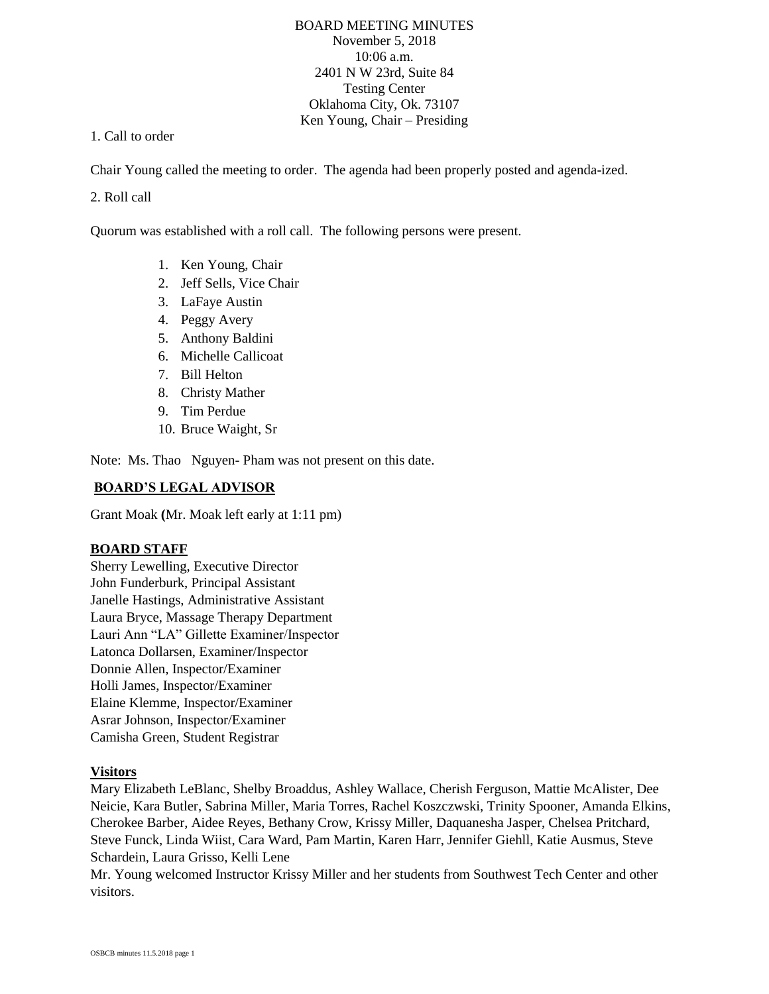# BOARD MEETING MINUTES November 5, 2018 10:06 a.m. 2401 N W 23rd, Suite 84 Testing Center Oklahoma City, Ok. 73107 Ken Young, Chair – Presiding

### 1. Call to order

Chair Young called the meeting to order. The agenda had been properly posted and agenda-ized.

### 2. Roll call

Quorum was established with a roll call. The following persons were present.

- 1. Ken Young, Chair
- 2. Jeff Sells, Vice Chair
- 3. LaFaye Austin
- 4. Peggy Avery
- 5. Anthony Baldini
- 6. Michelle Callicoat
- 7. Bill Helton
- 8. Christy Mather
- 9. Tim Perdue
- 10. Bruce Waight, Sr

Note: Ms. Thao Nguyen- Pham was not present on this date.

# **BOARD'S LEGAL ADVISOR**

Grant Moak **(**Mr. Moak left early at 1:11 pm)

# **BOARD STAFF**

Sherry Lewelling, Executive Director John Funderburk, Principal Assistant Janelle Hastings, Administrative Assistant Laura Bryce, Massage Therapy Department Lauri Ann "LA" Gillette Examiner/Inspector Latonca Dollarsen, Examiner/Inspector Donnie Allen, Inspector/Examiner Holli James, Inspector/Examiner Elaine Klemme, Inspector/Examiner Asrar Johnson, Inspector/Examiner Camisha Green, Student Registrar

#### **Visitors**

Mary Elizabeth LeBlanc, Shelby Broaddus, Ashley Wallace, Cherish Ferguson, Mattie McAlister, Dee Neicie, Kara Butler, Sabrina Miller, Maria Torres, Rachel Koszczwski, Trinity Spooner, Amanda Elkins, Cherokee Barber, Aidee Reyes, Bethany Crow, Krissy Miller, Daquanesha Jasper, Chelsea Pritchard, Steve Funck, Linda Wiist, Cara Ward, Pam Martin, Karen Harr, Jennifer Giehll, Katie Ausmus, Steve Schardein, Laura Grisso, Kelli Lene

Mr. Young welcomed Instructor Krissy Miller and her students from Southwest Tech Center and other visitors.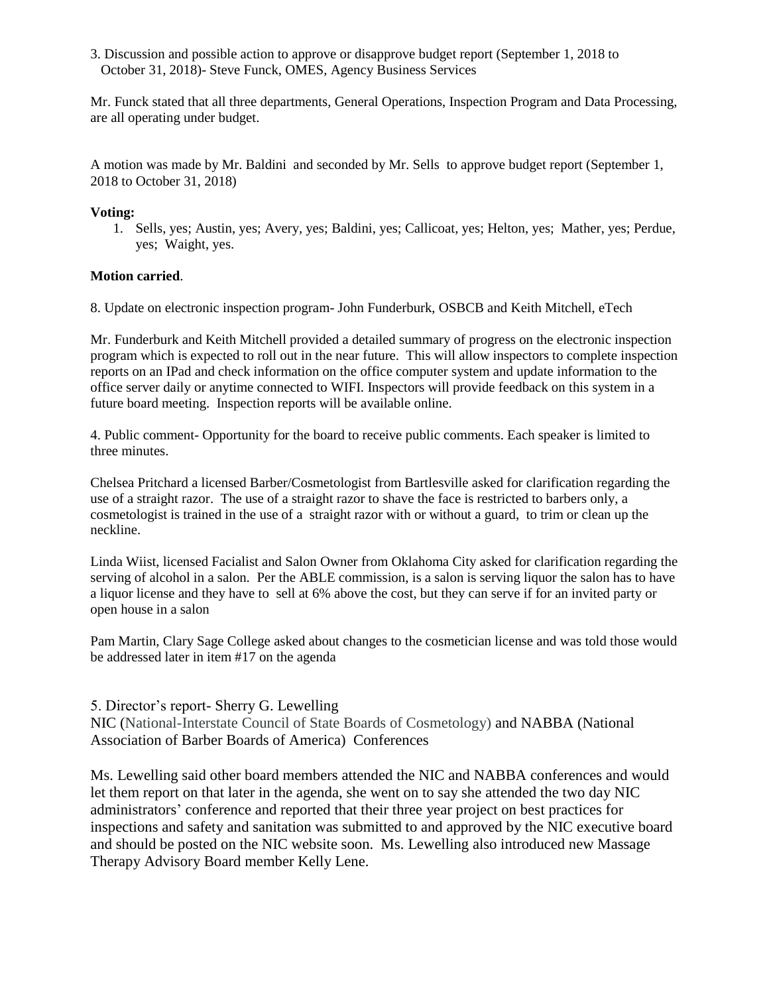3. Discussion and possible action to approve or disapprove budget report (September 1, 2018 to October 31, 2018)- Steve Funck, OMES, Agency Business Services

Mr. Funck stated that all three departments, General Operations, Inspection Program and Data Processing, are all operating under budget.

A motion was made by Mr. Baldini and seconded by Mr. Sells to approve budget report (September 1, 2018 to October 31, 2018)

### **Voting:**

1. Sells, yes; Austin, yes; Avery, yes; Baldini, yes; Callicoat, yes; Helton, yes; Mather, yes; Perdue, yes; Waight, yes.

# **Motion carried**.

8. Update on electronic inspection program- John Funderburk, OSBCB and Keith Mitchell, eTech

Mr. Funderburk and Keith Mitchell provided a detailed summary of progress on the electronic inspection program which is expected to roll out in the near future. This will allow inspectors to complete inspection reports on an IPad and check information on the office computer system and update information to the office server daily or anytime connected to WIFI. Inspectors will provide feedback on this system in a future board meeting. Inspection reports will be available online.

4. Public comment- Opportunity for the board to receive public comments. Each speaker is limited to three minutes.

Chelsea Pritchard a licensed Barber/Cosmetologist from Bartlesville asked for clarification regarding the use of a straight razor. The use of a straight razor to shave the face is restricted to barbers only, a cosmetologist is trained in the use of a straight razor with or without a guard, to trim or clean up the neckline.

Linda Wiist, licensed Facialist and Salon Owner from Oklahoma City asked for clarification regarding the serving of alcohol in a salon. Per the ABLE commission, is a salon is serving liquor the salon has to have a liquor license and they have to sell at 6% above the cost, but they can serve if for an invited party or open house in a salon

Pam Martin, Clary Sage College asked about changes to the cosmetician license and was told those would be addressed later in item #17 on the agenda

# 5. Director's report- Sherry G. Lewelling

NIC (National-Interstate Council of State Boards of Cosmetology) and NABBA (National Association of Barber Boards of America) Conferences

Ms. Lewelling said other board members attended the NIC and NABBA conferences and would let them report on that later in the agenda, she went on to say she attended the two day NIC administrators' conference and reported that their three year project on best practices for inspections and safety and sanitation was submitted to and approved by the NIC executive board and should be posted on the NIC website soon. Ms. Lewelling also introduced new Massage Therapy Advisory Board member Kelly Lene.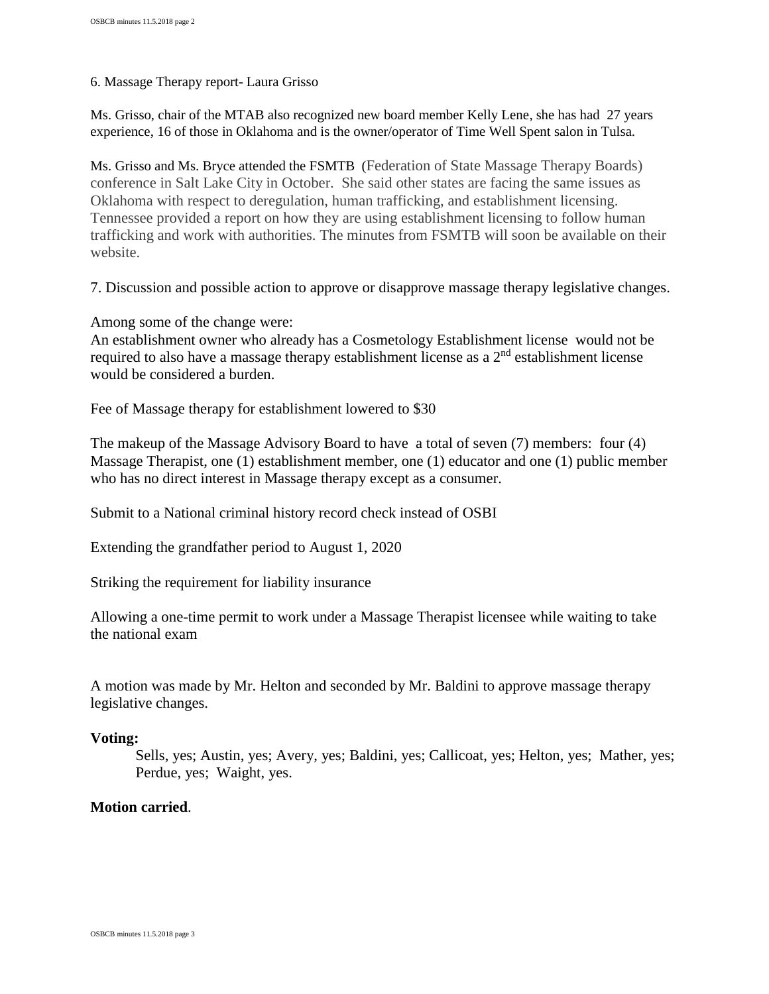6. Massage Therapy report- Laura Grisso

Ms. Grisso, chair of the MTAB also recognized new board member Kelly Lene, she has had 27 years experience, 16 of those in Oklahoma and is the owner/operator of Time Well Spent salon in Tulsa.

Ms. Grisso and Ms. Bryce attended the FSMTB (Federation of State Massage Therapy Boards) conference in Salt Lake City in October. She said other states are facing the same issues as Oklahoma with respect to deregulation, human trafficking, and establishment licensing. Tennessee provided a report on how they are using establishment licensing to follow human trafficking and work with authorities. The minutes from FSMTB will soon be available on their website.

7. Discussion and possible action to approve or disapprove massage therapy legislative changes.

Among some of the change were:

An establishment owner who already has a Cosmetology Establishment license would not be required to also have a massage therapy establishment license as a  $2<sup>nd</sup>$  establishment license would be considered a burden.

Fee of Massage therapy for establishment lowered to \$30

The makeup of the Massage Advisory Board to have a total of seven (7) members: four (4) Massage Therapist, one (1) establishment member, one (1) educator and one (1) public member who has no direct interest in Massage therapy except as a consumer.

Submit to a National criminal history record check instead of OSBI

Extending the grandfather period to August 1, 2020

Striking the requirement for liability insurance

Allowing a one-time permit to work under a Massage Therapist licensee while waiting to take the national exam

A motion was made by Mr. Helton and seconded by Mr. Baldini to approve massage therapy legislative changes.

# **Voting:**

Sells, yes; Austin, yes; Avery, yes; Baldini, yes; Callicoat, yes; Helton, yes; Mather, yes; Perdue, yes; Waight, yes.

# **Motion carried**.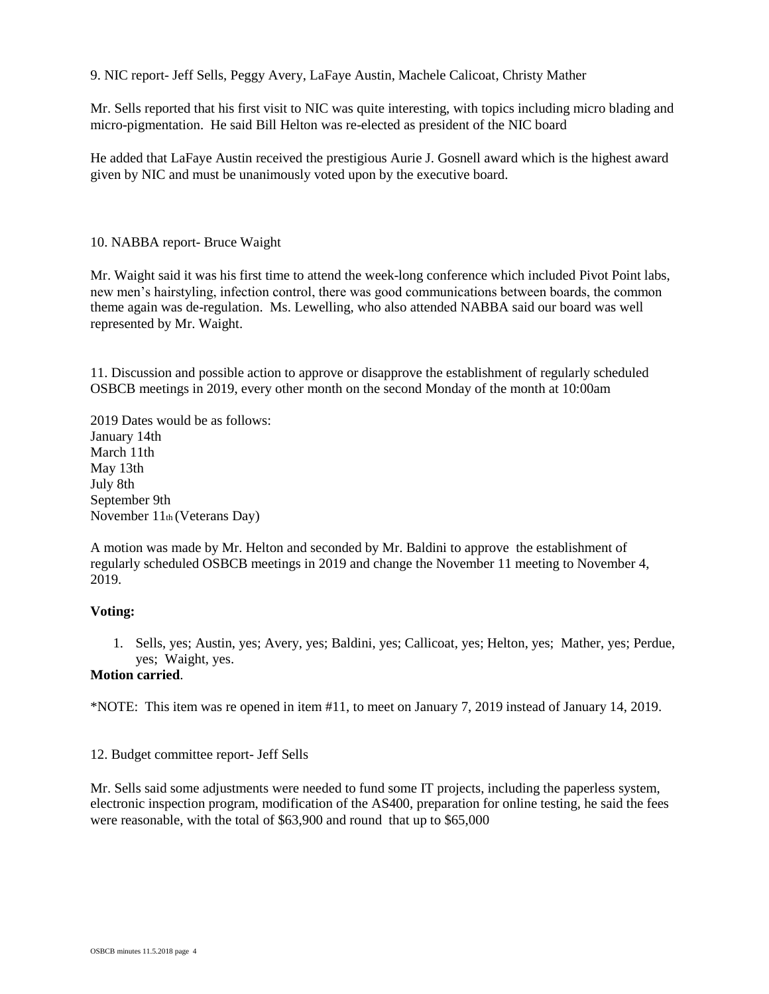9. NIC report- Jeff Sells, Peggy Avery, LaFaye Austin, Machele Calicoat, Christy Mather

Mr. Sells reported that his first visit to NIC was quite interesting, with topics including micro blading and micro-pigmentation. He said Bill Helton was re-elected as president of the NIC board

He added that LaFaye Austin received the prestigious Aurie J. Gosnell award which is the highest award given by NIC and must be unanimously voted upon by the executive board.

### 10. NABBA report- Bruce Waight

Mr. Waight said it was his first time to attend the week-long conference which included Pivot Point labs, new men's hairstyling, infection control, there was good communications between boards, the common theme again was de-regulation. Ms. Lewelling, who also attended NABBA said our board was well represented by Mr. Waight.

11. Discussion and possible action to approve or disapprove the establishment of regularly scheduled OSBCB meetings in 2019, every other month on the second Monday of the month at 10:00am

2019 Dates would be as follows: January 14th March 11th May 13th July 8th September 9th November 11th (Veterans Day)

A motion was made by Mr. Helton and seconded by Mr. Baldini to approve the establishment of regularly scheduled OSBCB meetings in 2019 and change the November 11 meeting to November 4, 2019.

#### **Voting:**

1. Sells, yes; Austin, yes; Avery, yes; Baldini, yes; Callicoat, yes; Helton, yes; Mather, yes; Perdue, yes; Waight, yes.

# **Motion carried**.

\*NOTE: This item was re opened in item #11, to meet on January 7, 2019 instead of January 14, 2019.

12. Budget committee report- Jeff Sells

Mr. Sells said some adjustments were needed to fund some IT projects, including the paperless system, electronic inspection program, modification of the AS400, preparation for online testing, he said the fees were reasonable, with the total of \$63,900 and round that up to \$65,000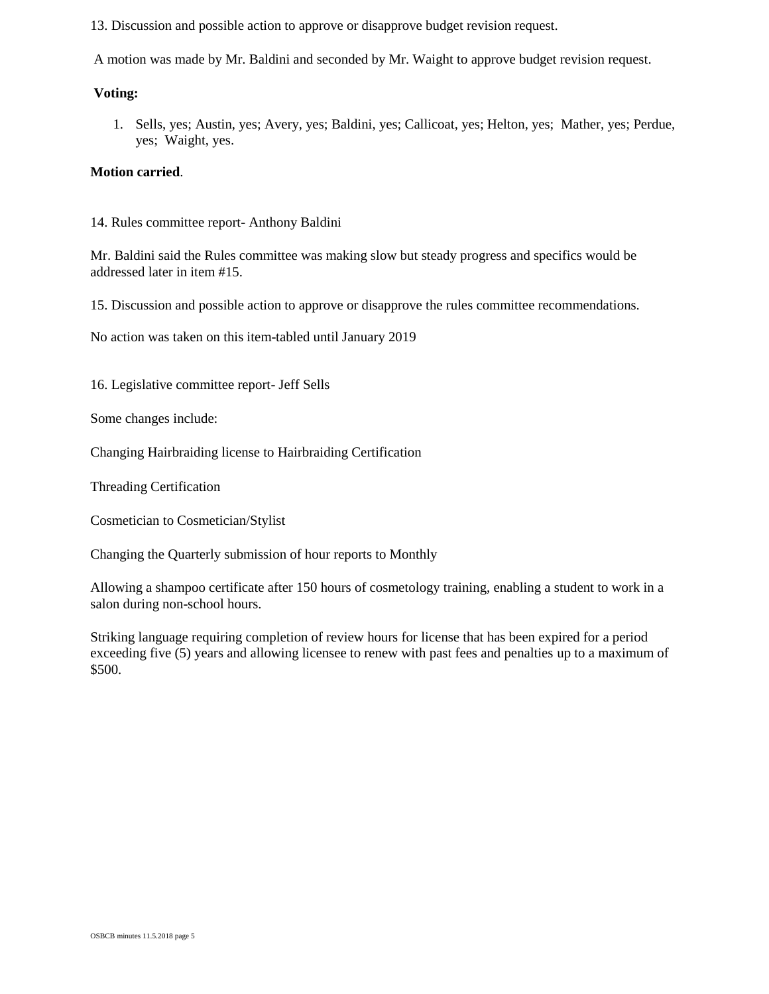13. Discussion and possible action to approve or disapprove budget revision request.

A motion was made by Mr. Baldini and seconded by Mr. Waight to approve budget revision request.

# **Voting:**

1. Sells, yes; Austin, yes; Avery, yes; Baldini, yes; Callicoat, yes; Helton, yes; Mather, yes; Perdue, yes; Waight, yes.

# **Motion carried**.

14. Rules committee report- Anthony Baldini

Mr. Baldini said the Rules committee was making slow but steady progress and specifics would be addressed later in item #15.

15. Discussion and possible action to approve or disapprove the rules committee recommendations.

No action was taken on this item-tabled until January 2019

16. Legislative committee report- Jeff Sells

Some changes include:

Changing Hairbraiding license to Hairbraiding Certification

Threading Certification

Cosmetician to Cosmetician/Stylist

Changing the Quarterly submission of hour reports to Monthly

Allowing a shampoo certificate after 150 hours of cosmetology training, enabling a student to work in a salon during non-school hours.

Striking language requiring completion of review hours for license that has been expired for a period exceeding five (5) years and allowing licensee to renew with past fees and penalties up to a maximum of \$500.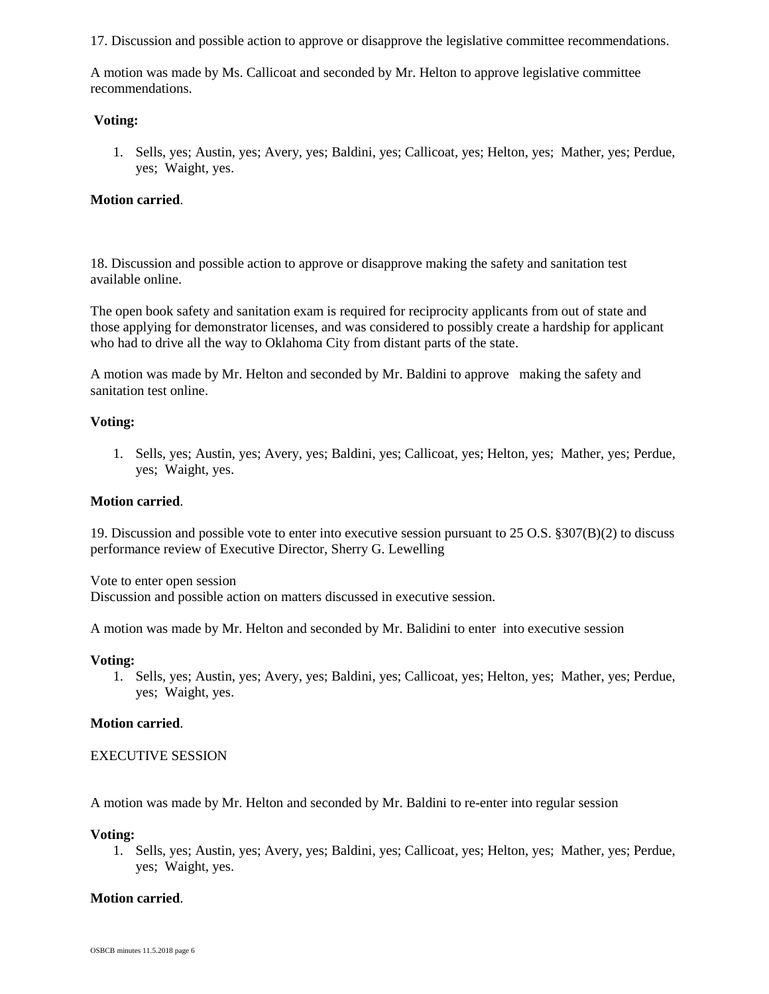17. Discussion and possible action to approve or disapprove the legislative committee recommendations.

A motion was made by Ms. Callicoat and seconded by Mr. Helton to approve legislative committee recommendations.

### **Voting:**

1. Sells, yes; Austin, yes; Avery, yes; Baldini, yes; Callicoat, yes; Helton, yes; Mather, yes; Perdue, yes; Waight, yes.

### **Motion carried**.

18. Discussion and possible action to approve or disapprove making the safety and sanitation test available online.

The open book safety and sanitation exam is required for reciprocity applicants from out of state and those applying for demonstrator licenses, and was considered to possibly create a hardship for applicant who had to drive all the way to Oklahoma City from distant parts of the state.

A motion was made by Mr. Helton and seconded by Mr. Baldini to approve making the safety and sanitation test online.

### **Voting:**

1. Sells, yes; Austin, yes; Avery, yes; Baldini, yes; Callicoat, yes; Helton, yes; Mather, yes; Perdue, yes; Waight, yes.

#### **Motion carried**.

19. Discussion and possible vote to enter into executive session pursuant to 25 O.S. §307(B)(2) to discuss performance review of Executive Director, Sherry G. Lewelling

Vote to enter open session

Discussion and possible action on matters discussed in executive session.

A motion was made by Mr. Helton and seconded by Mr. Balidini to enter into executive session

#### **Voting:**

1. Sells, yes; Austin, yes; Avery, yes; Baldini, yes; Callicoat, yes; Helton, yes; Mather, yes; Perdue, yes; Waight, yes.

#### **Motion carried**.

#### EXECUTIVE SESSION

A motion was made by Mr. Helton and seconded by Mr. Baldini to re-enter into regular session

#### **Voting:**

1. Sells, yes; Austin, yes; Avery, yes; Baldini, yes; Callicoat, yes; Helton, yes; Mather, yes; Perdue, yes; Waight, yes.

#### **Motion carried**.